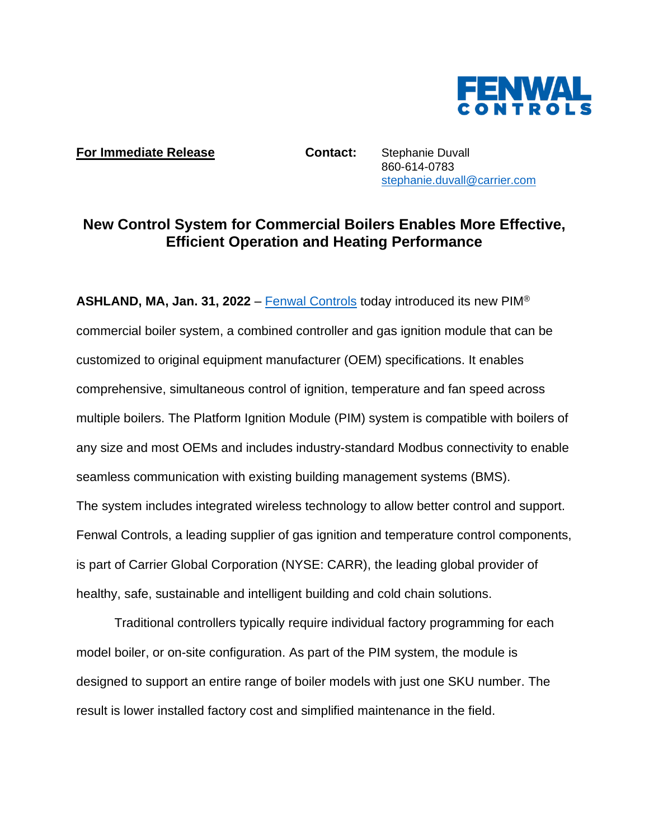

## **For Immediate Release <b>Contact:** Stephanie Duvall

860-614-0783 [stephanie.duvall@carrier.com](mailto:stephanie.duvall@carrier.com)

## **New Control System for Commercial Boilers Enables More Effective, Efficient Operation and Heating Performance**

**ASHLAND, MA, Jan. 31, 2022** – [Fenwal Controls](https://www.kidde-fenwal.com/Public/Fenwalcontrols) today introduced its new PIM® commercial boiler system, a combined controller and gas ignition module that can be customized to original equipment manufacturer (OEM) specifications. It enables comprehensive, simultaneous control of ignition, temperature and fan speed across multiple boilers. The Platform Ignition Module (PIM) system is compatible with boilers of any size and most OEMs and includes industry-standard Modbus connectivity to enable seamless communication with existing building management systems (BMS). The system includes integrated wireless technology to allow better control and support. Fenwal Controls, a leading supplier of gas ignition and temperature control components, is part of Carrier Global Corporation (NYSE: CARR), the leading global provider of healthy, safe, sustainable and intelligent building and cold chain solutions.

Traditional controllers typically require individual factory programming for each model boiler, or on-site configuration. As part of the PIM system, the module is designed to support an entire range of boiler models with just one SKU number. The result is lower installed factory cost and simplified maintenance in the field.